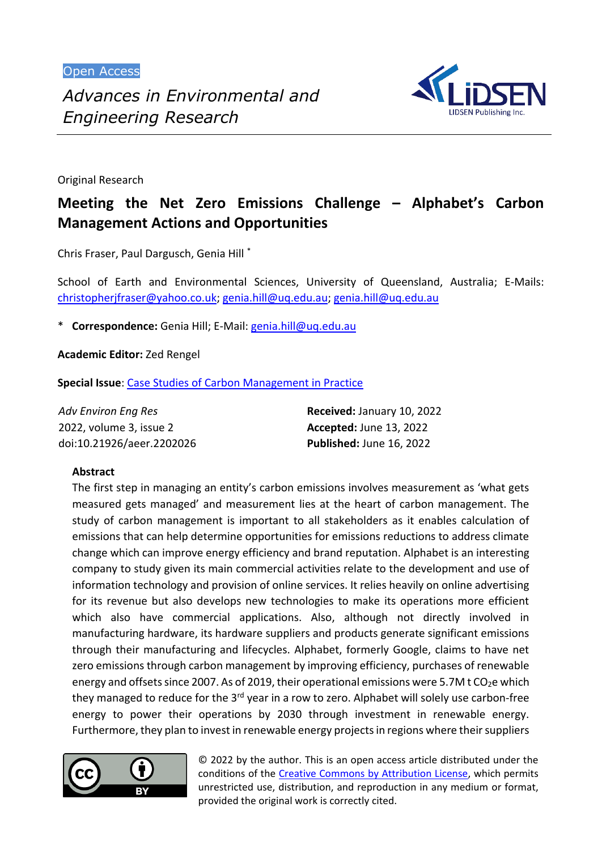Open Access



Original Research

# **Meeting the Net Zero Emissions Challenge – Alphabet's Carbon Management Actions and Opportunities**

Chris Fraser, Paul Dargusch, Genia Hill \*

School of Earth and Environmental Sciences, University of Queensland, Australia; E-Mails: [christopherjfraser@yahoo.co.uk;](mailto:christopherjfraser@yahoo.co.uk) [genia.hill@uq.edu.au; genia.hill@uq.edu.au](mailto:genia.hill@uq.edu.au)

\* **Correspondence:** Genia Hill; E-Mail: [genia.hill@uq.edu.au](mailto:genia.hill@uq.edu.au)

**Academic Editor:** Zed Rengel

**Special Issue**: [Case Studies of Carbon Management in Practice](https://www.lidsen.com/journals/aeer/aeer-special-issues/Carbon-Manage-Practic)

| <b>Adv Environ Eng Res</b> | Received: January 10, 2022     |
|----------------------------|--------------------------------|
| 2022, volume 3, issue 2    | <b>Accepted: June 13, 2022</b> |
| doi:10.21926/aeer.2202026  | Published: June 16, 2022       |

# **Abstract**

The first step in managing an entity's carbon emissions involves measurement as 'what gets measured gets managed' and measurement lies at the heart of carbon management. The study of carbon management is important to all stakeholders as it enables calculation of emissions that can help determine opportunities for emissions reductions to address climate change which can improve energy efficiency and brand reputation. Alphabet is an interesting company to study given its main commercial activities relate to the development and use of information technology and provision of online services. It relies heavily on online advertising for its revenue but also develops new technologies to make its operations more efficient which also have commercial applications. Also, although not directly involved in manufacturing hardware, its hardware suppliers and products generate significant emissions through their manufacturing and lifecycles. Alphabet, formerly Google, claims to have net zero emissions through carbon management by improving efficiency, purchases of renewable energy and offsets since 2007. As of 2019, their operational emissions were 5.7M t CO<sub>2</sub>e which they managed to reduce for the 3<sup>rd</sup> year in a row to zero. Alphabet will solely use carbon-free energy to power their operations by 2030 through investment in renewable energy. Furthermore, they plan to invest in renewable energy projects in regions where their suppliers



© 2022 by the author. This is an open access article distributed under the conditions of the [Creative Commons by Attribution License,](http://creativecommons.org/licenses/by/4.0/) which permits unrestricted use, distribution, and reproduction in any medium or format, provided the original work is correctly cited.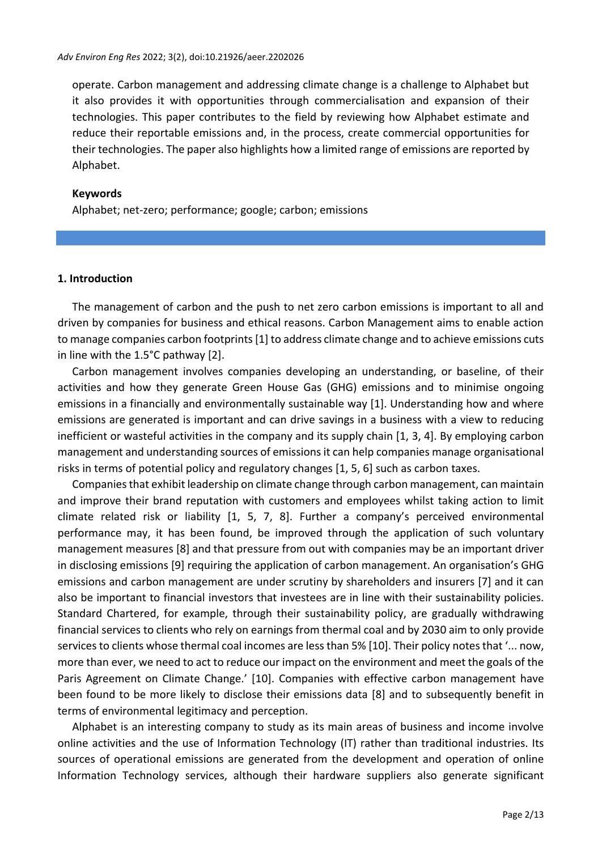operate. Carbon management and addressing climate change is a challenge to Alphabet but it also provides it with opportunities through commercialisation and expansion of their technologies. This paper contributes to the field by reviewing how Alphabet estimate and reduce their reportable emissions and, in the process, create commercial opportunities for their technologies. The paper also highlights how a limited range of emissions are reported by Alphabet.

#### **Keywords**

Alphabet; net-zero; performance; google; carbon; emissions

#### **1. Introduction**

The management of carbon and the push to net zero carbon emissions is important to all and driven by companies for business and ethical reasons. Carbon Management aims to enable action to manage companies carbon footprints [1] to address climate change and to achieve emissions cuts in line with the 1.5°C pathway [2].

Carbon management involves companies developing an understanding, or baseline, of their activities and how they generate Green House Gas (GHG) emissions and to minimise ongoing emissions in a financially and environmentally sustainable way [1]. Understanding how and where emissions are generated is important and can drive savings in a business with a view to reducing inefficient or wasteful activities in the company and its supply chain [1, 3, 4]. By employing carbon management and understanding sources of emissions it can help companies manage organisational risks in terms of potential policy and regulatory changes [1, 5, 6] such as carbon taxes.

Companies that exhibit leadership on climate change through carbon management, can maintain and improve their brand reputation with customers and employees whilst taking action to limit climate related risk or liability [1, 5, 7, 8]. Further a company's perceived environmental performance may, it has been found, be improved through the application of such voluntary management measures [8] and that pressure from out with companies may be an important driver in disclosing emissions [9] requiring the application of carbon management. An organisation's GHG emissions and carbon management are under scrutiny by shareholders and insurers [7] and it can also be important to financial investors that investees are in line with their sustainability policies. Standard Chartered, for example, through their sustainability policy, are gradually withdrawing financial services to clients who rely on earnings from thermal coal and by 2030 aim to only provide services to clients whose thermal coal incomes are less than 5% [10]. Their policy notes that '... now, more than ever, we need to act to reduce our impact on the environment and meet the goals of the Paris Agreement on Climate Change.' [10]. Companies with effective carbon management have been found to be more likely to disclose their emissions data [8] and to subsequently benefit in terms of environmental legitimacy and perception.

Alphabet is an interesting company to study as its main areas of business and income involve online activities and the use of Information Technology (IT) rather than traditional industries. Its sources of operational emissions are generated from the development and operation of online Information Technology services, although their hardware suppliers also generate significant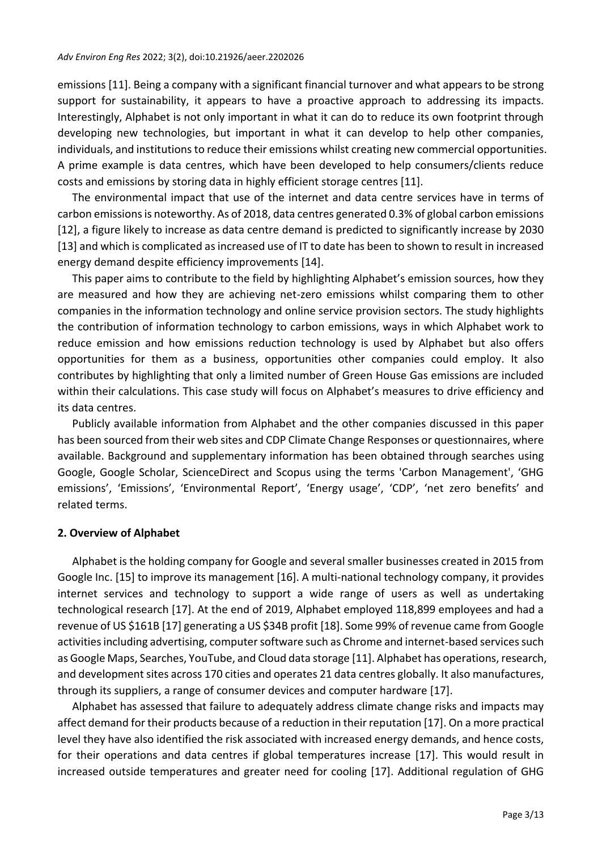emissions [11]. Being a company with a significant financial turnover and what appears to be strong support for sustainability, it appears to have a proactive approach to addressing its impacts. Interestingly, Alphabet is not only important in what it can do to reduce its own footprint through developing new technologies, but important in what it can develop to help other companies, individuals, and institutions to reduce their emissions whilst creating new commercial opportunities. A prime example is data centres, which have been developed to help consumers/clients reduce costs and emissions by storing data in highly efficient storage centres [11].

The environmental impact that use of the internet and data centre services have in terms of carbon emissions is noteworthy. As of 2018, data centres generated 0.3% of global carbon emissions [12], a figure likely to increase as data centre demand is predicted to significantly increase by 2030 [13] and which is complicated asincreased use of IT to date has been to shown to result in increased energy demand despite efficiency improvements [14].

This paper aims to contribute to the field by highlighting Alphabet's emission sources, how they are measured and how they are achieving net-zero emissions whilst comparing them to other companies in the information technology and online service provision sectors. The study highlights the contribution of information technology to carbon emissions, ways in which Alphabet work to reduce emission and how emissions reduction technology is used by Alphabet but also offers opportunities for them as a business, opportunities other companies could employ. It also contributes by highlighting that only a limited number of Green House Gas emissions are included within their calculations. This case study will focus on Alphabet's measures to drive efficiency and its data centres.

Publicly available information from Alphabet and the other companies discussed in this paper has been sourced from their web sites and CDP Climate Change Responses or questionnaires, where available. Background and supplementary information has been obtained through searches using Google, Google Scholar, ScienceDirect and Scopus using the terms 'Carbon Management', 'GHG emissions', 'Emissions', 'Environmental Report', 'Energy usage', 'CDP', 'net zero benefits' and related terms.

# **2. Overview of Alphabet**

Alphabet is the holding company for Google and several smaller businesses created in 2015 from Google Inc. [15] to improve its management [16]. A multi-national technology company, it provides internet services and technology to support a wide range of users as well as undertaking technological research [17]. At the end of 2019, Alphabet employed 118,899 employees and had a revenue of US \$161B [17] generating a US \$34B profit [18]. Some 99% of revenue came from Google activities including advertising, computer software such as Chrome and internet-based services such as Google Maps, Searches, YouTube, and Cloud data storage [11]. Alphabet has operations, research, and development sites across 170 cities and operates 21 data centres globally. It also manufactures, through its suppliers, a range of consumer devices and computer hardware [17].

Alphabet has assessed that failure to adequately address climate change risks and impacts may affect demand for their products because of a reduction in their reputation [17]. On a more practical level they have also identified the risk associated with increased energy demands, and hence costs, for their operations and data centres if global temperatures increase [17]. This would result in increased outside temperatures and greater need for cooling [17]. Additional regulation of GHG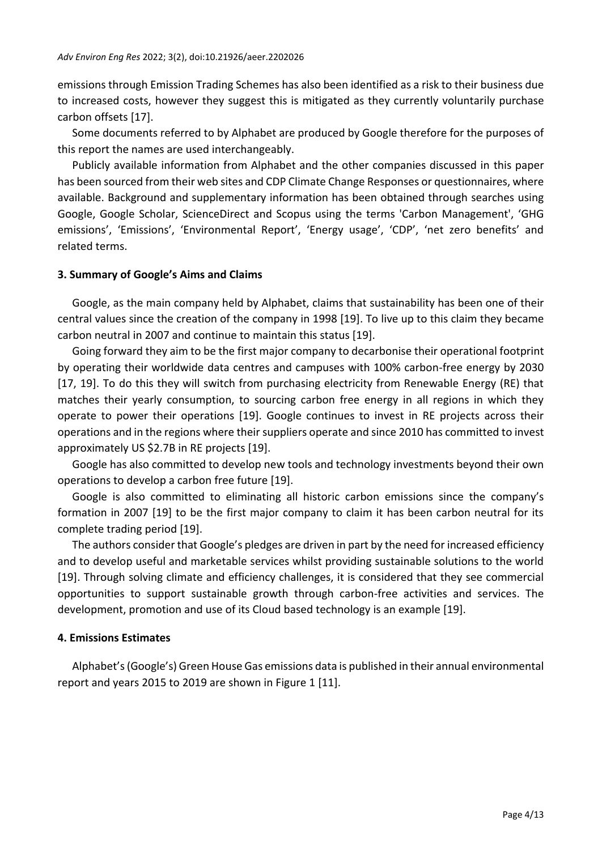emissions through Emission Trading Schemes has also been identified as a risk to their business due to increased costs, however they suggest this is mitigated as they currently voluntarily purchase carbon offsets [17].

Some documents referred to by Alphabet are produced by Google therefore for the purposes of this report the names are used interchangeably.

Publicly available information from Alphabet and the other companies discussed in this paper has been sourced from their web sites and CDP Climate Change Responses or questionnaires, where available. Background and supplementary information has been obtained through searches using Google, Google Scholar, ScienceDirect and Scopus using the terms 'Carbon Management', 'GHG emissions', 'Emissions', 'Environmental Report', 'Energy usage', 'CDP', 'net zero benefits' and related terms.

#### **3. Summary of Google's Aims and Claims**

Google, as the main company held by Alphabet, claims that sustainability has been one of their central values since the creation of the company in 1998 [19]. To live up to this claim they became carbon neutral in 2007 and continue to maintain this status [19].

Going forward they aim to be the first major company to decarbonise their operational footprint by operating their worldwide data centres and campuses with 100% carbon-free energy by 2030 [17, 19]. To do this they will switch from purchasing electricity from Renewable Energy (RE) that matches their yearly consumption, to sourcing carbon free energy in all regions in which they operate to power their operations [19]. Google continues to invest in RE projects across their operations and in the regions where their suppliers operate and since 2010 has committed to invest approximately US \$2.7B in RE projects [19].

Google has also committed to develop new tools and technology investments beyond their own operations to develop a carbon free future [19].

Google is also committed to eliminating all historic carbon emissions since the company's formation in 2007 [19] to be the first major company to claim it has been carbon neutral for its complete trading period [19].

The authors consider that Google's pledges are driven in part by the need for increased efficiency and to develop useful and marketable services whilst providing sustainable solutions to the world [19]. Through solving climate and efficiency challenges, it is considered that they see commercial opportunities to support sustainable growth through carbon-free activities and services. The development, promotion and use of its Cloud based technology is an example [19].

# **4. Emissions Estimates**

Alphabet's (Google's) Green House Gas emissions data is published in their annual environmental report and years 2015 to 2019 are shown in Figure 1 [11].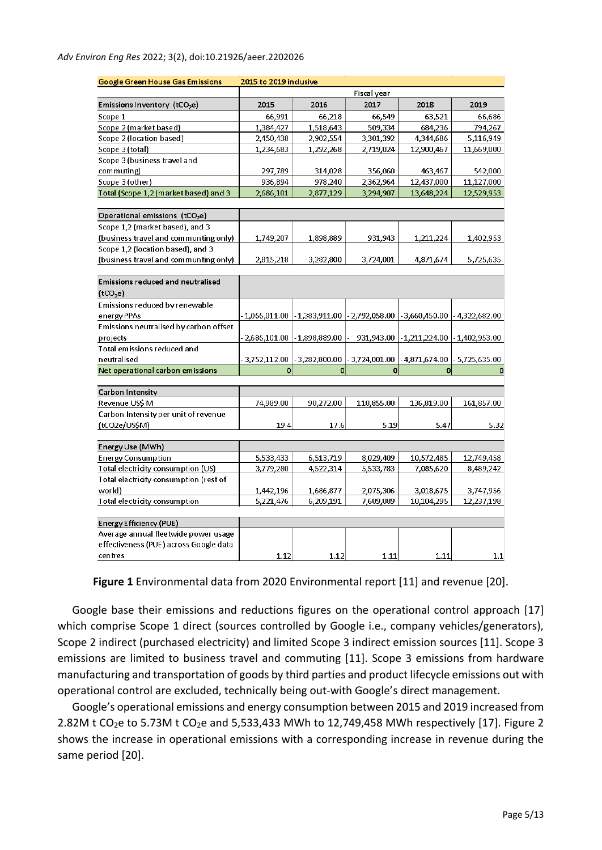| Google Green House Gas Emissions           | 2015 to 2019 inclusive |                                 |                          |                                          |                |  |
|--------------------------------------------|------------------------|---------------------------------|--------------------------|------------------------------------------|----------------|--|
|                                            | Fiscal year            |                                 |                          |                                          |                |  |
| Emissions Inventory (tCO <sub>2</sub> e)   | 2015                   | 2016                            | 2017                     | 2018                                     | 2019           |  |
| Scope 1                                    | 66,991                 | 66,218                          | 66,549                   | 63,521                                   | 66,686         |  |
| Scope 2 (market based)                     | 1,384,427              | 1,518,643                       | 509,334                  | 684,236                                  | 794,267        |  |
| Scope 2 (location based)                   | 2,450,438              | 2,902,554                       | 3,301,392                | 4,344,686                                | 5,116,949      |  |
| Scope 3 (total)                            | 1,234,683              | 1,292,268                       | 2,719,024                | 12,900,467                               | 11,669,000     |  |
| Scope 3 (business travel and               |                        |                                 |                          |                                          |                |  |
| commuting)                                 | 297,789                | 314,028                         | 356,060                  | 463,467                                  | 542,000        |  |
| Scope 3 (other)                            | 936,894                | 978,240                         | 2,362,964                | 12,437,000                               | 11,127,000     |  |
| Total (Scope 1,2 (market based) and 3      | 2,686,101              | 2,877,129                       | 3,294,907                | 13,648,224                               | 12,529,953     |  |
|                                            |                        |                                 |                          |                                          |                |  |
| Operational emissions (tCO <sub>2</sub> e) |                        |                                 |                          |                                          |                |  |
| Scope 1,2 (market based), and 3            |                        |                                 |                          |                                          |                |  |
| (business travel and communting only)      | 1,749,207              | 1,898,889                       | 931,943                  | 1,211,224                                | 1,402,953      |  |
| Scope 1,2 (location based), and 3          |                        |                                 |                          |                                          |                |  |
| (business travel and communting only)      | 2,815,218              | 3,282,800                       | 3,724,001                | 4,871,674                                | 5,725,635      |  |
|                                            |                        |                                 |                          |                                          |                |  |
| <b>Emissions reduced and neutralised</b>   |                        |                                 |                          |                                          |                |  |
| (tCO <sub>2</sub> e)                       |                        |                                 |                          |                                          |                |  |
| Emissions reduced by renewable             |                        |                                 |                          |                                          |                |  |
| energy PPAs                                | $-1,066,011.00$        | $-1,383,911.00$                 | $-2,792,058.00$          | $-3,660,450.00$                          | - 4,322,682.00 |  |
| Emissions neutralised by carbon offset     |                        |                                 |                          |                                          |                |  |
| projects                                   |                        | $-2,686,101.00$ $-1,898,889.00$ | $\overline{\phantom{a}}$ | 931,943.00 - 1,211,224.00 - 1,402,953.00 |                |  |
| <b>Total emissions reduced and</b>         |                        |                                 |                          |                                          |                |  |
| neutralised                                | 3,752,112.00           | -3,282,800.00                   | $-3,724,001.00$          | - 4,871,674.00                           | - 5,725,635.00 |  |
| Net operational carbon emissions           | 0                      | $\overline{0}$                  | $\mathbf 0$              | 0                                        | 0              |  |
|                                            |                        |                                 |                          |                                          |                |  |
| Carbon Intensity                           |                        |                                 |                          |                                          |                |  |
| Revenue US\$ M                             | 74,989.00              | 90,272.00                       | 110,855.00               | 136,819.00                               | 161,857.00     |  |
| Carbon Intensity per unit of revenue       |                        |                                 |                          |                                          |                |  |
| (tCO2e/US\$M)                              | 19.4                   | 17.6                            | 5.19                     | 5.47                                     | 5.32           |  |
|                                            |                        |                                 |                          |                                          |                |  |
| Energy Use (MWh)                           |                        |                                 |                          |                                          |                |  |
| <b>Energy Consumption</b>                  | 5,533,433              | 6,513,719                       | 8,029,409                | 10,572,485                               | 12,749,458     |  |
| Total electricity consumption (US)         | 3,779,280              | 4,522,314                       | 5,533,783                | 7,085,620                                | 8,489,242      |  |
| Total electricity consumption (rest of     |                        |                                 |                          |                                          |                |  |
| world)                                     | 1,442,196              | 1,686,877                       | 2,075,306                | 3,018,675                                | 3,747,956      |  |
| <b>Total electricity consumption</b>       | 5,221,476              | 6,209,191                       | 7,609,089                | 10,104,295                               | 12,237,198     |  |
|                                            |                        |                                 |                          |                                          |                |  |
| Energy Efficiency (PUE)                    |                        |                                 |                          |                                          |                |  |
| Average annual fleetwide power usage       |                        |                                 |                          |                                          |                |  |
| effectiveness (PUE) across Google data     |                        |                                 |                          |                                          |                |  |
| centres                                    | 1.12                   | 1.12                            | 1.11                     | 1.11                                     | 1.1            |  |

**Figure 1** Environmental data from 2020 Environmental report [11] and revenue [20].

Google base their emissions and reductions figures on the operational control approach [17] which comprise Scope 1 direct (sources controlled by Google i.e., company vehicles/generators), Scope 2 indirect (purchased electricity) and limited Scope 3 indirect emission sources [11]. Scope 3 emissions are limited to business travel and commuting [11]. Scope 3 emissions from hardware manufacturing and transportation of goods by third parties and product lifecycle emissions out with operational control are excluded, technically being out-with Google's direct management.

Google's operational emissions and energy consumption between 2015 and 2019 increased from 2.82M t CO<sub>2</sub>e to 5.73M t CO<sub>2</sub>e and 5,533,433 MWh to 12,749,458 MWh respectively [17]. Figure 2 shows the increase in operational emissions with a corresponding increase in revenue during the same period [20].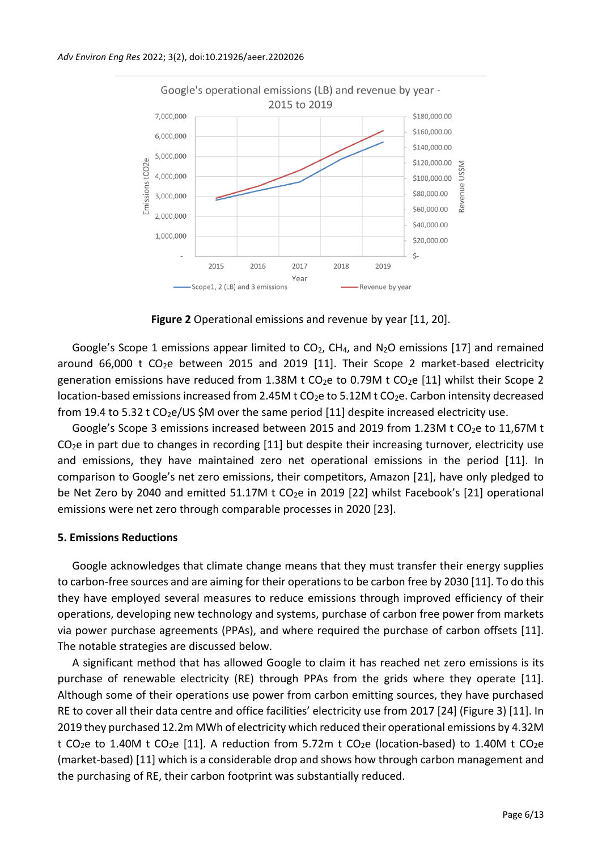

**Figure 2** Operational emissions and revenue by year [11, 20].

Google's Scope 1 emissions appear limited to  $CO<sub>2</sub>$ , CH<sub>4</sub>, and N<sub>2</sub>O emissions [17] and remained around  $66,000$  t CO<sub>2</sub>e between 2015 and 2019 [11]. Their Scope 2 market-based electricity generation emissions have reduced from 1.38M t CO<sub>2</sub>e to 0.79M t CO<sub>2</sub>e [11] whilst their Scope 2 location-based emissions increased from 2.45M t  $CO<sub>2</sub>e$  to 5.12M t  $CO<sub>2</sub>e$ . Carbon intensity decreased from 19.4 to 5.32 t CO<sub>2</sub>e/US \$M over the same period [11] despite increased electricity use.

Google's Scope 3 emissions increased between 2015 and 2019 from 1.23M t CO<sub>2</sub>e to 11,67M t  $CO<sub>2</sub>e$  in part due to changes in recording [11] but despite their increasing turnover, electricity use and emissions, they have maintained zero net operational emissions in the period [11]. In comparison to Google's net zero emissions, their competitors, Amazon [21], have only pledged to be Net Zero by 2040 and emitted 51.17M t CO<sub>2</sub>e in 2019 [22] whilst Facebook's [21] operational emissions were net zero through comparable processes in 2020 [23].

# **5. Emissions Reductions**

Google acknowledges that climate change means that they must transfer their energy supplies to carbon-free sources and are aiming for their operations to be carbon free by 2030 [11]. To do this they have employed several measures to reduce emissions through improved efficiency of their operations, developing new technology and systems, purchase of carbon free power from markets via power purchase agreements (PPAs), and where required the purchase of carbon offsets [11]. The notable strategies are discussed below.

A significant method that has allowed Google to claim it has reached net zero emissions is its purchase of renewable electricity (RE) through PPAs from the grids where they operate [11]. Although some of their operations use power from carbon emitting sources, they have purchased RE to cover all their data centre and office facilities' electricity use from 2017 [24] (Figure 3) [11]. In 2019 they purchased 12.2m MWh of electricity which reduced their operational emissions by 4.32M t CO<sub>2</sub>e to 1.40M t CO<sub>2</sub>e [11]. A reduction from 5.72m t CO<sub>2</sub>e (location-based) to 1.40M t CO<sub>2</sub>e (market-based) [11] which is a considerable drop and shows how through carbon management and the purchasing of RE, their carbon footprint was substantially reduced.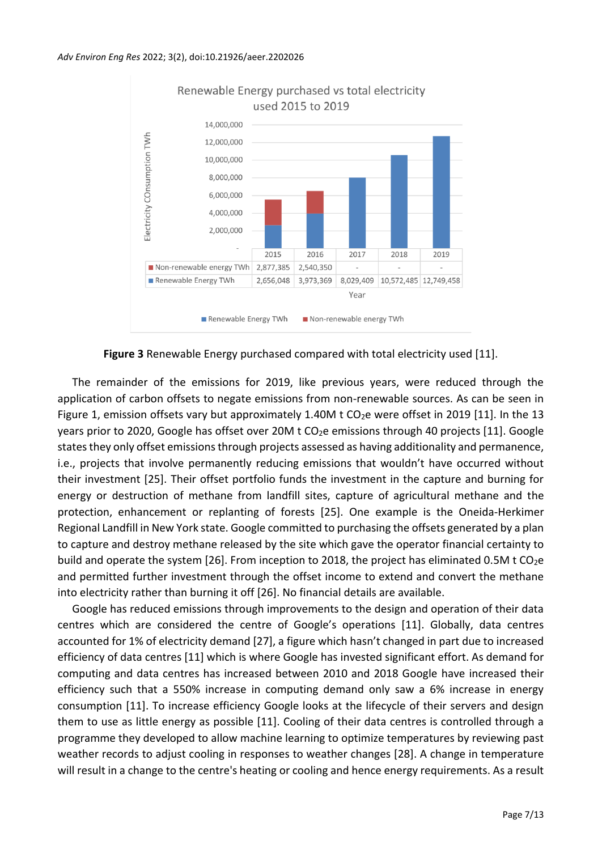

**Figure 3** Renewable Energy purchased compared with total electricity used [11].

The remainder of the emissions for 2019, like previous years, were reduced through the application of carbon offsets to negate emissions from non-renewable sources. As can be seen in Figure 1, emission offsets vary but approximately 1.40M t  $CO<sub>2</sub>e$  were offset in 2019 [11]. In the 13 years prior to 2020, Google has offset over 20M t CO<sub>2</sub>e emissions through 40 projects [11]. Google states they only offset emissions through projects assessed as having additionality and permanence, i.e., projects that involve permanently reducing emissions that wouldn't have occurred without their investment [25]. Their offset portfolio funds the investment in the capture and burning for energy or destruction of methane from landfill sites, capture of agricultural methane and the protection, enhancement or replanting of forests [25]. One example is the Oneida-Herkimer Regional Landfill in New York state. Google committed to purchasing the offsets generated by a plan to capture and destroy methane released by the site which gave the operator financial certainty to build and operate the system  $[26]$ . From inception to 2018, the project has eliminated 0.5M t CO<sub>2</sub>e and permitted further investment through the offset income to extend and convert the methane into electricity rather than burning it off [26]. No financial details are available.

Google has reduced emissions through improvements to the design and operation of their data centres which are considered the centre of Google's operations [11]. Globally, data centres accounted for 1% of electricity demand [27], a figure which hasn't changed in part due to increased efficiency of data centres [11] which is where Google has invested significant effort. As demand for computing and data centres has increased between 2010 and 2018 Google have increased their efficiency such that a 550% increase in computing demand only saw a 6% increase in energy consumption [11]. To increase efficiency Google looks at the lifecycle of their servers and design them to use as little energy as possible [11]. Cooling of their data centres is controlled through a programme they developed to allow machine learning to optimize temperatures by reviewing past weather records to adjust cooling in responses to weather changes [28]. A change in temperature will result in a change to the centre's heating or cooling and hence energy requirements. As a result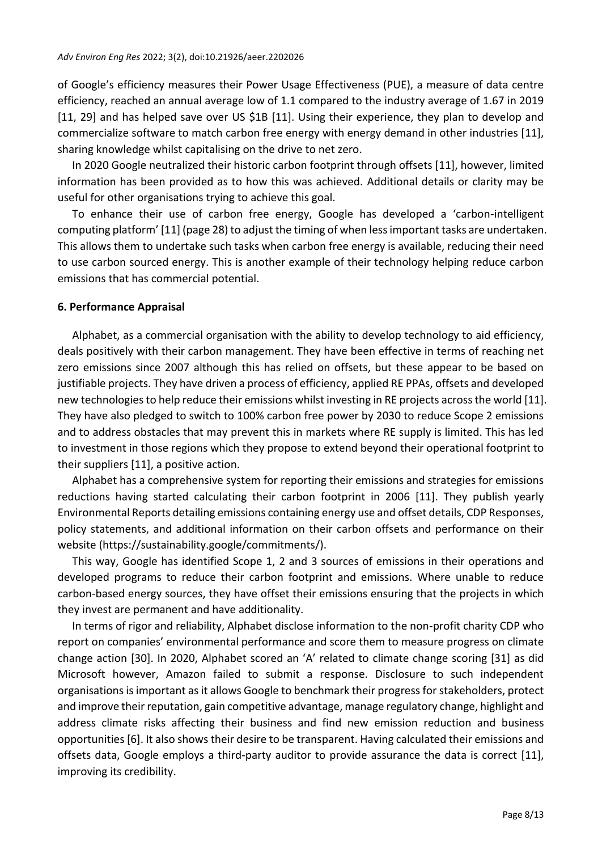of Google's efficiency measures their Power Usage Effectiveness (PUE), a measure of data centre efficiency, reached an annual average low of 1.1 compared to the industry average of 1.67 in 2019 [11, 29] and has helped save over US \$1B [11]. Using their experience, they plan to develop and commercialize software to match carbon free energy with energy demand in other industries [11], sharing knowledge whilst capitalising on the drive to net zero.

In 2020 Google neutralized their historic carbon footprint through offsets [11], however, limited information has been provided as to how this was achieved. Additional details or clarity may be useful for other organisations trying to achieve this goal.

To enhance their use of carbon free energy, Google has developed a 'carbon-intelligent computing platform' [11] (page 28) to adjust the timing of when less important tasks are undertaken. This allows them to undertake such tasks when carbon free energy is available, reducing their need to use carbon sourced energy. This is another example of their technology helping reduce carbon emissions that has commercial potential.

#### **6. Performance Appraisal**

Alphabet, as a commercial organisation with the ability to develop technology to aid efficiency, deals positively with their carbon management. They have been effective in terms of reaching net zero emissions since 2007 although this has relied on offsets, but these appear to be based on justifiable projects. They have driven a process of efficiency, applied RE PPAs, offsets and developed new technologies to help reduce their emissions whilst investing in RE projects across the world [11]. They have also pledged to switch to 100% carbon free power by 2030 to reduce Scope 2 emissions and to address obstacles that may prevent this in markets where RE supply is limited. This has led to investment in those regions which they propose to extend beyond their operational footprint to their suppliers [11], a positive action.

Alphabet has a comprehensive system for reporting their emissions and strategies for emissions reductions having started calculating their carbon footprint in 2006 [11]. They publish yearly Environmental Reports detailing emissions containing energy use and offset details, CDP Responses, policy statements, and additional information on their carbon offsets and performance on their website (https://sustainability.google/commitments/).

This way, Google has identified Scope 1, 2 and 3 sources of emissions in their operations and developed programs to reduce their carbon footprint and emissions. Where unable to reduce carbon-based energy sources, they have offset their emissions ensuring that the projects in which they invest are permanent and have additionality.

In terms of rigor and reliability, Alphabet disclose information to the non-profit charity CDP who report on companies' environmental performance and score them to measure progress on climate change action [30]. In 2020, Alphabet scored an 'A' related to climate change scoring [31] as did Microsoft however, Amazon failed to submit a response. Disclosure to such independent organisations is important as it allows Google to benchmark their progress for stakeholders, protect and improve their reputation, gain competitive advantage, manage regulatory change, highlight and address climate risks affecting their business and find new emission reduction and business opportunities [6]. It also shows their desire to be transparent. Having calculated their emissions and offsets data, Google employs a third-party auditor to provide assurance the data is correct [11], improving its credibility.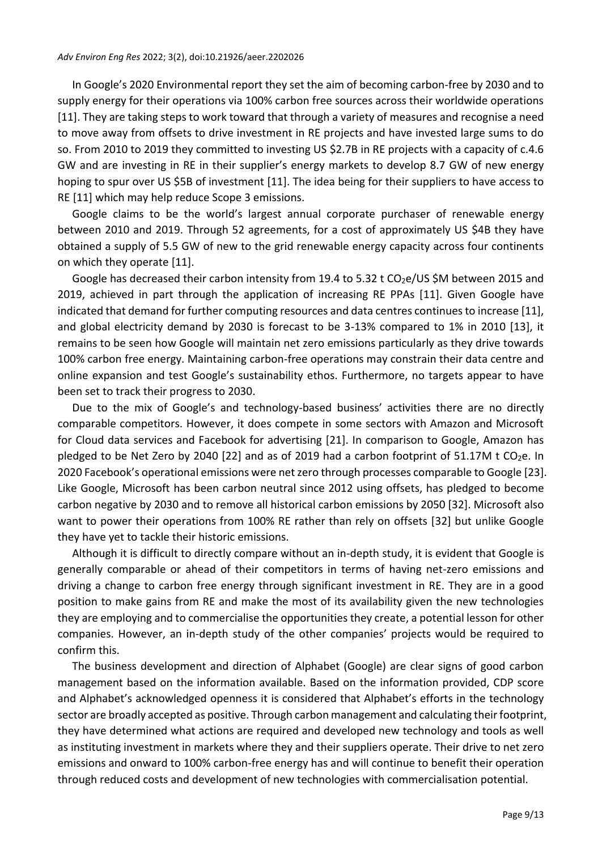In Google's 2020 Environmental report they set the aim of becoming carbon-free by 2030 and to supply energy for their operations via 100% carbon free sources across their worldwide operations [11]. They are taking steps to work toward that through a variety of measures and recognise a need to move away from offsets to drive investment in RE projects and have invested large sums to do so. From 2010 to 2019 they committed to investing US \$2.7B in RE projects with a capacity of c.4.6 GW and are investing in RE in their supplier's energy markets to develop 8.7 GW of new energy hoping to spur over US \$5B of investment [11]. The idea being for their suppliers to have access to RE [11] which may help reduce Scope 3 emissions.

Google claims to be the world's largest annual corporate purchaser of renewable energy between 2010 and 2019. Through 52 agreements, for a cost of approximately US \$4B they have obtained a supply of 5.5 GW of new to the grid renewable energy capacity across four continents on which they operate [11].

Google has decreased their carbon intensity from 19.4 to 5.32 t  $CO<sub>2</sub>e/US$ \$M between 2015 and 2019, achieved in part through the application of increasing RE PPAs [11]. Given Google have indicated that demand for further computing resources and data centres continues to increase [11], and global electricity demand by 2030 is forecast to be 3-13% compared to 1% in 2010 [13], it remains to be seen how Google will maintain net zero emissions particularly as they drive towards 100% carbon free energy. Maintaining carbon-free operations may constrain their data centre and online expansion and test Google's sustainability ethos. Furthermore, no targets appear to have been set to track their progress to 2030.

Due to the mix of Google's and technology-based business' activities there are no directly comparable competitors. However, it does compete in some sectors with Amazon and Microsoft for Cloud data services and Facebook for advertising [21]. In comparison to Google, Amazon has pledged to be Net Zero by 2040 [22] and as of 2019 had a carbon footprint of 51.17M t CO<sub>2</sub>e. In 2020 Facebook's operational emissions were net zero through processes comparable to Google [23]. Like Google, Microsoft has been carbon neutral since 2012 using offsets, has pledged to become carbon negative by 2030 and to remove all historical carbon emissions by 2050 [32]. Microsoft also want to power their operations from 100% RE rather than rely on offsets [32] but unlike Google they have yet to tackle their historic emissions.

Although it is difficult to directly compare without an in-depth study, it is evident that Google is generally comparable or ahead of their competitors in terms of having net-zero emissions and driving a change to carbon free energy through significant investment in RE. They are in a good position to make gains from RE and make the most of its availability given the new technologies they are employing and to commercialise the opportunities they create, a potential lesson for other companies. However, an in-depth study of the other companies' projects would be required to confirm this.

The business development and direction of Alphabet (Google) are clear signs of good carbon management based on the information available. Based on the information provided, CDP score and Alphabet's acknowledged openness it is considered that Alphabet's efforts in the technology sector are broadly accepted as positive. Through carbon management and calculating their footprint, they have determined what actions are required and developed new technology and tools as well as instituting investment in markets where they and their suppliers operate. Their drive to net zero emissions and onward to 100% carbon-free energy has and will continue to benefit their operation through reduced costs and development of new technologies with commercialisation potential.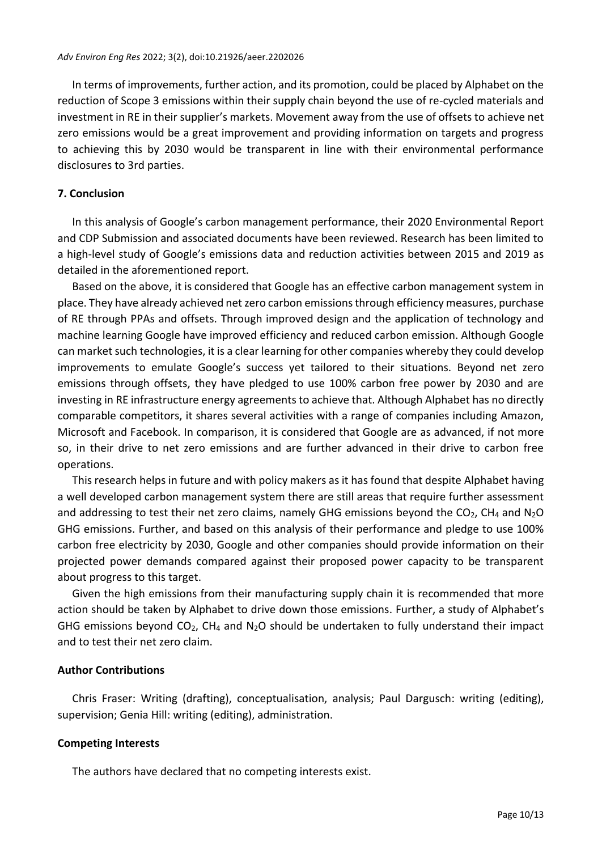In terms of improvements, further action, and its promotion, could be placed by Alphabet on the reduction of Scope 3 emissions within their supply chain beyond the use of re-cycled materials and investment in RE in their supplier's markets. Movement away from the use of offsets to achieve net zero emissions would be a great improvement and providing information on targets and progress to achieving this by 2030 would be transparent in line with their environmental performance disclosures to 3rd parties.

# **7. Conclusion**

In this analysis of Google's carbon management performance, their 2020 Environmental Report and CDP Submission and associated documents have been reviewed. Research has been limited to a high-level study of Google's emissions data and reduction activities between 2015 and 2019 as detailed in the aforementioned report.

Based on the above, it is considered that Google has an effective carbon management system in place. They have already achieved net zero carbon emissions through efficiency measures, purchase of RE through PPAs and offsets. Through improved design and the application of technology and machine learning Google have improved efficiency and reduced carbon emission. Although Google can market such technologies, it is a clear learning for other companies whereby they could develop improvements to emulate Google's success yet tailored to their situations. Beyond net zero emissions through offsets, they have pledged to use 100% carbon free power by 2030 and are investing in RE infrastructure energy agreements to achieve that. Although Alphabet has no directly comparable competitors, it shares several activities with a range of companies including Amazon, Microsoft and Facebook. In comparison, it is considered that Google are as advanced, if not more so, in their drive to net zero emissions and are further advanced in their drive to carbon free operations.

This research helps in future and with policy makers as it has found that despite Alphabet having a well developed carbon management system there are still areas that require further assessment and addressing to test their net zero claims, namely GHG emissions beyond the  $CO<sub>2</sub>$ , CH<sub>4</sub> and N<sub>2</sub>O GHG emissions. Further, and based on this analysis of their performance and pledge to use 100% carbon free electricity by 2030, Google and other companies should provide information on their projected power demands compared against their proposed power capacity to be transparent about progress to this target.

Given the high emissions from their manufacturing supply chain it is recommended that more action should be taken by Alphabet to drive down those emissions. Further, a study of Alphabet's GHG emissions beyond  $CO<sub>2</sub>$ , CH<sub>4</sub> and N<sub>2</sub>O should be undertaken to fully understand their impact and to test their net zero claim.

# **Author Contributions**

Chris Fraser: Writing (drafting), conceptualisation, analysis; Paul Dargusch: writing (editing), supervision; Genia Hill: writing (editing), administration.

# **Competing Interests**

The authors have declared that no competing interests exist.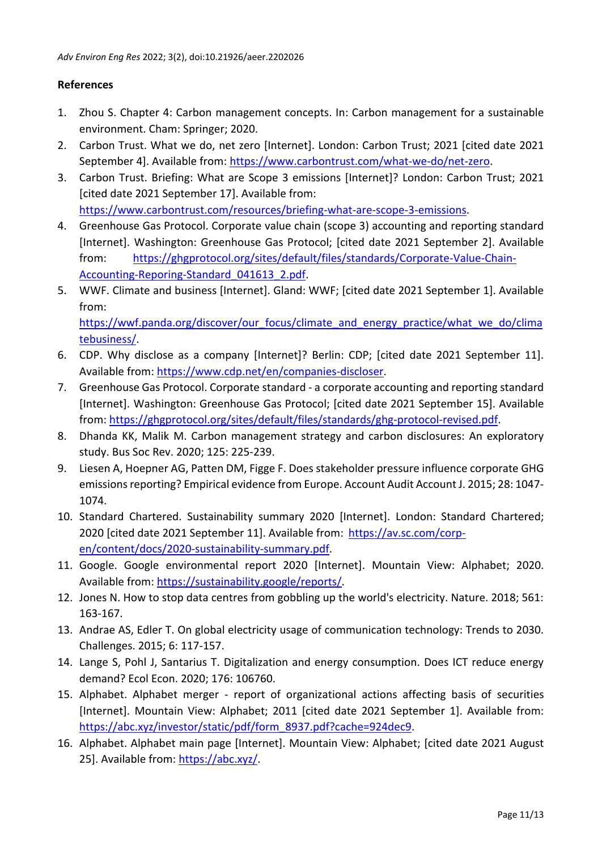# **References**

- 1. Zhou S. Chapter 4: Carbon management concepts. In: Carbon management for a sustainable environment. Cham: Springer; 2020.
- 2. Carbon Trust. What we do, net zero [Internet]. London: Carbon Trust; 2021 [cited date 2021 September 4]. Available from: [https://www.carbontrust.com/what-we-do/net-zero.](https://www.carbontrust.com/what-we-do/net-zero)
- 3. Carbon Trust. Briefing: What are Scope 3 emissions [Internet]? London: Carbon Trust; 2021 [cited date 2021 September 17]. Available from: [https://www.carbontrust.com/resources/briefing-what-are-scope-3-emissions.](https://www.carbontrust.com/resources/briefing-what-are-scope-3-emissions)
- 4. Greenhouse Gas Protocol. Corporate value chain (scope 3) accounting and reporting standard [Internet]. Washington: Greenhouse Gas Protocol; [cited date 2021 September 2]. Available from: [https://ghgprotocol.org/sites/default/files/standards/Corporate-Value-Chain-](https://ghgprotocol.org/sites/default/files/standards/Corporate-Value-Chain-Accounting-Reporing-Standard_041613_2.pdf)[Accounting-Reporing-Standard\\_041613\\_2.pdf.](https://ghgprotocol.org/sites/default/files/standards/Corporate-Value-Chain-Accounting-Reporing-Standard_041613_2.pdf)
- 5. WWF. Climate and business [Internet]. Gland: WWF; [cited date 2021 September 1]. Available from: [https://wwf.panda.org/discover/our\\_focus/climate\\_and\\_energy\\_practice/what\\_we\\_do/clima](https://wwf.panda.org/discover/our_focus/climate_and_energy_practice/what_we_do/climatebusiness/) [tebusiness/.](https://wwf.panda.org/discover/our_focus/climate_and_energy_practice/what_we_do/climatebusiness/)
- 6. CDP. Why disclose as a company [Internet]? Berlin: CDP; [cited date 2021 September 11]. Available from: [https://www.cdp.net/en/companies-discloser.](https://www.cdp.net/en/companies-discloser)
- 7. Greenhouse Gas Protocol. Corporate standard a corporate accounting and reporting standard [Internet]. Washington: Greenhouse Gas Protocol; [cited date 2021 September 15]. Available from: [https://ghgprotocol.org/sites/default/files/standards/ghg-protocol-revised.pdf.](https://ghgprotocol.org/sites/default/files/standards/ghg-protocol-revised.pdf)
- 8. Dhanda KK, Malik M. Carbon management strategy and carbon disclosures: An exploratory study. Bus Soc Rev. 2020; 125: 225-239.
- 9. Liesen A, Hoepner AG, Patten DM, Figge F. Does stakeholder pressure influence corporate GHG emissions reporting? Empirical evidence from Europe. Account Audit Account J. 2015; 28: 1047- 1074.
- 10. Standard Chartered. Sustainability summary 2020 [Internet]. London: Standard Chartered; 2020 [cited date 2021 September 11]. Available from: [https://av.sc.com/corp](https://av.sc.com/corp-en/content/docs/2020-sustainability-summary.pdf)[en/content/docs/2020-sustainability-summary.pdf.](https://av.sc.com/corp-en/content/docs/2020-sustainability-summary.pdf)
- 11. Google. Google environmental report 2020 [Internet]. Mountain View: Alphabet; 2020. Available from: [https://sustainability.google/reports/.](https://sustainability.google/reports/)
- 12. Jones N. How to stop data centres from gobbling up the world's electricity. Nature. 2018; 561: 163-167.
- 13. Andrae AS, Edler T. On global electricity usage of communication technology: Trends to 2030. Challenges. 2015; 6: 117-157.
- 14. Lange S, Pohl J, Santarius T. Digitalization and energy consumption. Does ICT reduce energy demand? Ecol Econ. 2020; 176: 106760.
- 15. Alphabet. Alphabet merger report of organizational actions affecting basis of securities [Internet]. Mountain View: Alphabet; 2011 [cited date 2021 September 1]. Available from: [https://abc.xyz/investor/static/pdf/form\\_8937.pdf?cache=924dec9.](https://abc.xyz/investor/static/pdf/form_8937.pdf?cache=924dec9)
- 16. Alphabet. Alphabet main page [Internet]. Mountain View: Alphabet; [cited date 2021 August 25]. Available from: [https://abc.xyz/.](https://abc.xyz/)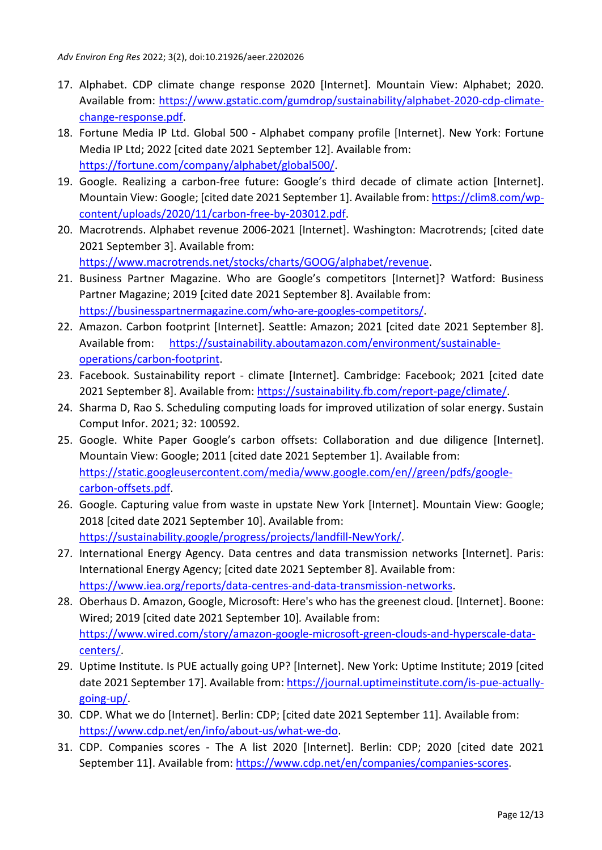- 17. Alphabet. CDP climate change response 2020 [Internet]. Mountain View: Alphabet; 2020. Available from: [https://www.gstatic.com/gumdrop/sustainability/alphabet-2020-cdp-climate](https://www.gstatic.com/gumdrop/sustainability/alphabet-2020-cdp-climate-change-response.pdf)[change-response.pdf.](https://www.gstatic.com/gumdrop/sustainability/alphabet-2020-cdp-climate-change-response.pdf)
- 18. Fortune Media IP Ltd. Global 500 Alphabet company profile [Internet]. New York: Fortune Media IP Ltd; 2022 [cited date 2021 September 12]. Available from: [https://fortune.com/company/alphabet/global500/.](https://fortune.com/company/alphabet/global500/)
- 19. Google. Realizing a carbon-free future: Google's third decade of climate action [Internet]. Mountain View: Google; [cited date 2021 September 1]. Available from: [https://clim8.com/wp](https://clim8.com/wp-content/uploads/2020/11/carbon-free-by-203012.pdf)[content/uploads/2020/11/carbon-free-by-203012.pdf.](https://clim8.com/wp-content/uploads/2020/11/carbon-free-by-203012.pdf)
- 20. Macrotrends. Alphabet revenue 2006-2021 [Internet]. Washington: Macrotrends; [cited date 2021 September 3]. Available from: [https://www.macrotrends.net/stocks/charts/GOOG/alphabet/revenue.](https://www.macrotrends.net/stocks/charts/GOOG/alphabet/revenue)
- 21. Business Partner Magazine. Who are Google's competitors [Internet]? Watford: Business Partner Magazine; 2019 [cited date 2021 September 8]. Available from: [https://businesspartnermagazine.com/who-are-googles-competitors/.](https://businesspartnermagazine.com/who-are-googles-competitors/)
- 22. Amazon. Carbon footprint [Internet]. Seattle: Amazon; 2021 [cited date 2021 September 8]. Available from: [https://sustainability.aboutamazon.com/environment/sustainable](https://sustainability.aboutamazon.com/environment/sustainable-operations/carbon-footprint)[operations/carbon-footprint.](https://sustainability.aboutamazon.com/environment/sustainable-operations/carbon-footprint)
- 23. Facebook. Sustainability report climate [Internet]. Cambridge: Facebook; 2021 [cited date 2021 September 8]. Available from: [https://sustainability.fb.com/report-page/climate/.](https://sustainability.fb.com/report-page/climate/)
- 24. Sharma D, Rao S. Scheduling computing loads for improved utilization of solar energy. Sustain Comput Infor. 2021; 32: 100592.
- 25. Google. White Paper Google's carbon offsets: Collaboration and due diligence [Internet]. Mountain View: Google; 2011 [cited date 2021 September 1]. Available from: [https://static.googleusercontent.com/media/www.google.com/en//green/pdfs/google](https://static.googleusercontent.com/media/www.google.com/en/green/pdfs/google-carbon-offsets.pdf)[carbon-offsets.pdf.](https://static.googleusercontent.com/media/www.google.com/en/green/pdfs/google-carbon-offsets.pdf)
- 26. Google. Capturing value from waste in upstate New York [Internet]. Mountain View: Google; 2018 [cited date 2021 September 10]. Available from: [https://sustainability.google/progress/projects/landfill-NewYork/.](https://sustainability.google/progress/projects/landfill-NewYork/)
- 27. International Energy Agency. Data centres and data transmission networks [Internet]. Paris: International Energy Agency; [cited date 2021 September 8]. Available from: [https://www.iea.org/reports/data-centres-and-data-transmission-networks.](https://www.iea.org/reports/data-centres-and-data-transmission-networks)
- 28. Oberhaus D. Amazon, Google, Microsoft: Here's who has the greenest cloud. [Internet]. Boone: Wired; 2019 [cited date 2021 September 10]*.* Available from: [https://www.wired.com/story/amazon-google-microsoft-green-clouds-and-hyperscale-data](https://www.wired.com/story/amazon-google-microsoft-green-clouds-and-hyperscale-data-centers/)[centers/.](https://www.wired.com/story/amazon-google-microsoft-green-clouds-and-hyperscale-data-centers/)
- 29. Uptime Institute. Is PUE actually going UP? [Internet]. New York: Uptime Institute; 2019 [cited date 2021 September 17]. Available from: [https://journal.uptimeinstitute.com/is-pue-actually](https://journal.uptimeinstitute.com/is-pue-actually-going-up/)[going-up/.](https://journal.uptimeinstitute.com/is-pue-actually-going-up/)
- 30. CDP. What we do [Internet]. Berlin: CDP; [cited date 2021 September 11]. Available from: [https://www.cdp.net/en/info/about-us/what-we-do.](https://www.cdp.net/en/info/about-us/what-we-do)
- 31. CDP. Companies scores The A list 2020 [Internet]. Berlin: CDP; 2020 [cited date 2021 September 11]. Available from: [https://www.cdp.net/en/companies/companies-scores.](https://www.cdp.net/en/companies/companies-scores)